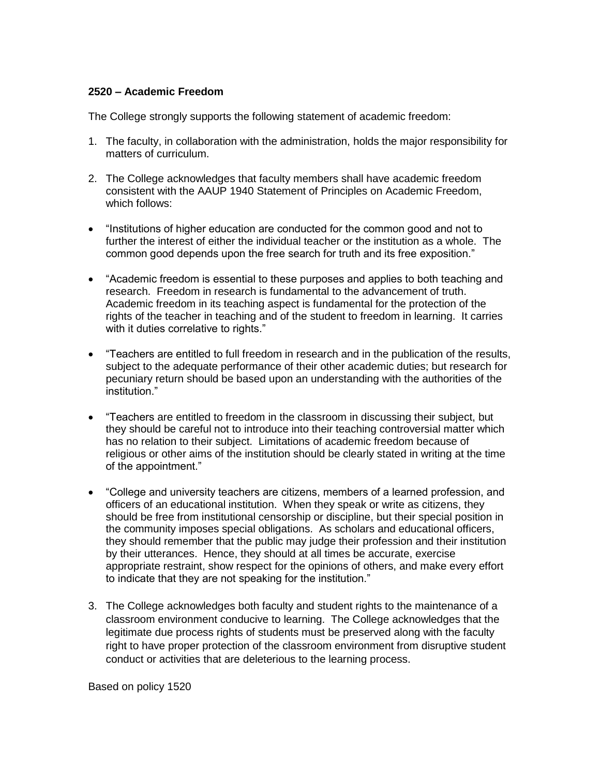## **2520 – Academic Freedom**

The College strongly supports the following statement of academic freedom:

- 1. The faculty, in collaboration with the administration, holds the major responsibility for matters of curriculum.
- 2. The College acknowledges that faculty members shall have academic freedom consistent with the AAUP 1940 Statement of Principles on Academic Freedom, which follows:
- "Institutions of higher education are conducted for the common good and not to further the interest of either the individual teacher or the institution as a whole. The common good depends upon the free search for truth and its free exposition."
- "Academic freedom is essential to these purposes and applies to both teaching and research. Freedom in research is fundamental to the advancement of truth. Academic freedom in its teaching aspect is fundamental for the protection of the rights of the teacher in teaching and of the student to freedom in learning. It carries with it duties correlative to rights."
- "Teachers are entitled to full freedom in research and in the publication of the results, subject to the adequate performance of their other academic duties; but research for pecuniary return should be based upon an understanding with the authorities of the institution."
- "Teachers are entitled to freedom in the classroom in discussing their subject, but they should be careful not to introduce into their teaching controversial matter which has no relation to their subject. Limitations of academic freedom because of religious or other aims of the institution should be clearly stated in writing at the time of the appointment."
- "College and university teachers are citizens, members of a learned profession, and officers of an educational institution. When they speak or write as citizens, they should be free from institutional censorship or discipline, but their special position in the community imposes special obligations. As scholars and educational officers, they should remember that the public may judge their profession and their institution by their utterances. Hence, they should at all times be accurate, exercise appropriate restraint, show respect for the opinions of others, and make every effort to indicate that they are not speaking for the institution."
- 3. The College acknowledges both faculty and student rights to the maintenance of a classroom environment conducive to learning. The College acknowledges that the legitimate due process rights of students must be preserved along with the faculty right to have proper protection of the classroom environment from disruptive student conduct or activities that are deleterious to the learning process.

Based on policy 1520